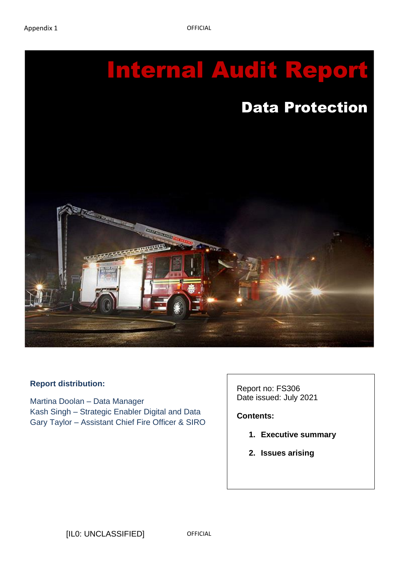

#### **Report distribution:**

Martina Doolan – Data Manager Kash Singh – Strategic Enabler Digital and Data Gary Taylor – Assistant Chief Fire Officer & SIRO Report no: FS306 Date issued: July 2021

**Contents:**

- **1. Executive summary**
- **2. Issues arising**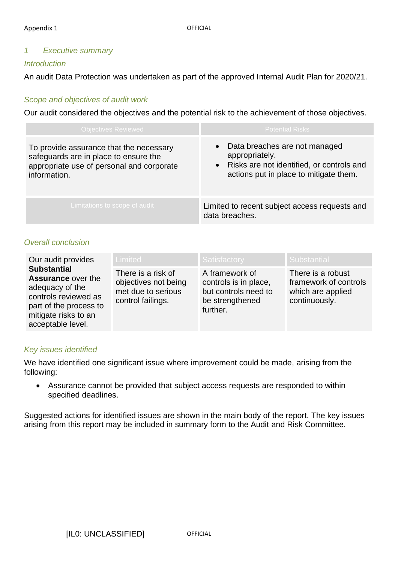## *1 Executive summary*

### *Introduction*

An audit Data Protection was undertaken as part of the approved Internal Audit Plan for 2020/21.

## *Scope and objectives of audit work*

Our audit considered the objectives and the potential risk to the achievement of those objectives.

| <b>Objectives Reviewed</b>                                                                                                                    | <b>Potential Risks</b>                                                                                                                     |
|-----------------------------------------------------------------------------------------------------------------------------------------------|--------------------------------------------------------------------------------------------------------------------------------------------|
| To provide assurance that the necessary<br>safeguards are in place to ensure the<br>appropriate use of personal and corporate<br>information. | • Data breaches are not managed<br>appropriately.<br>• Risks are not identified, or controls and<br>actions put in place to mitigate them. |
| Limitations to scope of audit                                                                                                                 | Limited to recent subject access requests and<br>data breaches.                                                                            |

#### *Overall conclusion*

| Our audit provides                                                                                                                                                | <b>Limited</b>                                                                        | Satisfactory                                                                                   | l Substantial                                                                    |
|-------------------------------------------------------------------------------------------------------------------------------------------------------------------|---------------------------------------------------------------------------------------|------------------------------------------------------------------------------------------------|----------------------------------------------------------------------------------|
| <b>Substantial</b><br><b>Assurance over the</b><br>adequacy of the<br>controls reviewed as<br>part of the process to<br>mitigate risks to an<br>acceptable level. | There is a risk of<br>objectives not being<br>met due to serious<br>control failings. | A framework of<br>controls is in place,<br>but controls need to<br>be strengthened<br>further. | There is a robust<br>framework of controls<br>which are applied<br>continuously. |

#### *Key issues identified*

We have identified one significant issue where improvement could be made, arising from the following:

• Assurance cannot be provided that subject access requests are responded to within specified deadlines.

Suggested actions for identified issues are shown in the main body of the report. The key issues arising from this report may be included in summary form to the Audit and Risk Committee.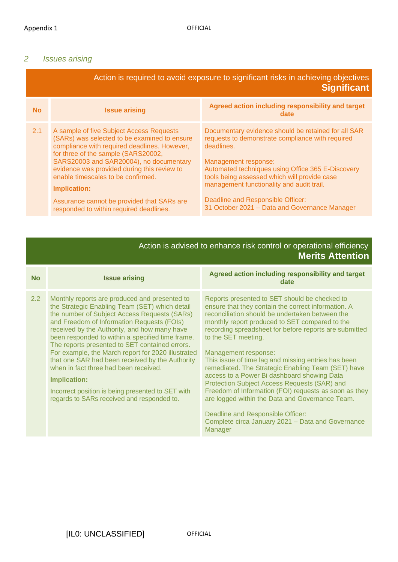### *2 Issues arising*

| Action is required to avoid exposure to significant risks in achieving objectives<br><b>Significant</b> |                                                                                                                                                                                                                                                                                                                                                                                                                                 |                                                                                                                                                                                                                                                                                                                                                                                       |  |
|---------------------------------------------------------------------------------------------------------|---------------------------------------------------------------------------------------------------------------------------------------------------------------------------------------------------------------------------------------------------------------------------------------------------------------------------------------------------------------------------------------------------------------------------------|---------------------------------------------------------------------------------------------------------------------------------------------------------------------------------------------------------------------------------------------------------------------------------------------------------------------------------------------------------------------------------------|--|
| <b>No</b>                                                                                               | <b>Issue arising</b>                                                                                                                                                                                                                                                                                                                                                                                                            | Agreed action including responsibility and target<br>date                                                                                                                                                                                                                                                                                                                             |  |
| 2.1                                                                                                     | A sample of five Subject Access Requests<br>(SARs) was selected to be examined to ensure<br>compliance with required deadlines. However,<br>for three of the sample (SARS20002,<br>SARS20003 and SAR20004), no documentary<br>evidence was provided during this review to<br>enable timescales to be confirmed.<br><b>Implication:</b><br>Assurance cannot be provided that SARs are<br>responded to within required deadlines. | Documentary evidence should be retained for all SAR<br>requests to demonstrate compliance with required<br>deadlines.<br>Management response:<br>Automated techniques using Office 365 E-Discovery<br>tools being assessed which will provide case<br>management functionality and audit trail.<br>Deadline and Responsible Officer:<br>31 October 2021 - Data and Governance Manager |  |

# Action is advised to enhance risk control or operational efficiency **Merits Attention**

| <b>No</b> | <b>Issue arising</b>                                                                                                                                                                                                                                                                                                                                                                                                                                                                                                                                                                                                            | Agreed action including responsibility and target<br>date                                                                                                                                                                                                                                                                                                                                                                                                                                                                                                                                                                                                                       |
|-----------|---------------------------------------------------------------------------------------------------------------------------------------------------------------------------------------------------------------------------------------------------------------------------------------------------------------------------------------------------------------------------------------------------------------------------------------------------------------------------------------------------------------------------------------------------------------------------------------------------------------------------------|---------------------------------------------------------------------------------------------------------------------------------------------------------------------------------------------------------------------------------------------------------------------------------------------------------------------------------------------------------------------------------------------------------------------------------------------------------------------------------------------------------------------------------------------------------------------------------------------------------------------------------------------------------------------------------|
| 2.2       | Monthly reports are produced and presented to<br>the Strategic Enabling Team (SET) which detail<br>the number of Subject Access Requests (SARs)<br>and Freedom of Information Requests (FOIs)<br>received by the Authority, and how many have<br>been responded to within a specified time frame.<br>The reports presented to SET contained errors.<br>For example, the March report for 2020 illustrated<br>that one SAR had been received by the Authority<br>when in fact three had been received.<br><b>Implication:</b><br>Incorrect position is being presented to SET with<br>regards to SARs received and responded to. | Reports presented to SET should be checked to<br>ensure that they contain the correct information. A<br>reconciliation should be undertaken between the<br>monthly report produced to SET compared to the<br>recording spreadsheet for before reports are submitted<br>to the SET meeting.<br>Management response:<br>This issue of time lag and missing entries has been<br>remediated. The Strategic Enabling Team (SET) have<br>access to a Power Bi dashboard showing Data<br>Protection Subject Access Requests (SAR) and<br>Freedom of Information (FOI) requests as soon as they<br>are logged within the Data and Governance Team.<br>Deadline and Responsible Officer: |
|           |                                                                                                                                                                                                                                                                                                                                                                                                                                                                                                                                                                                                                                 | Complete circa January 2021 - Data and Governance<br>Manager                                                                                                                                                                                                                                                                                                                                                                                                                                                                                                                                                                                                                    |